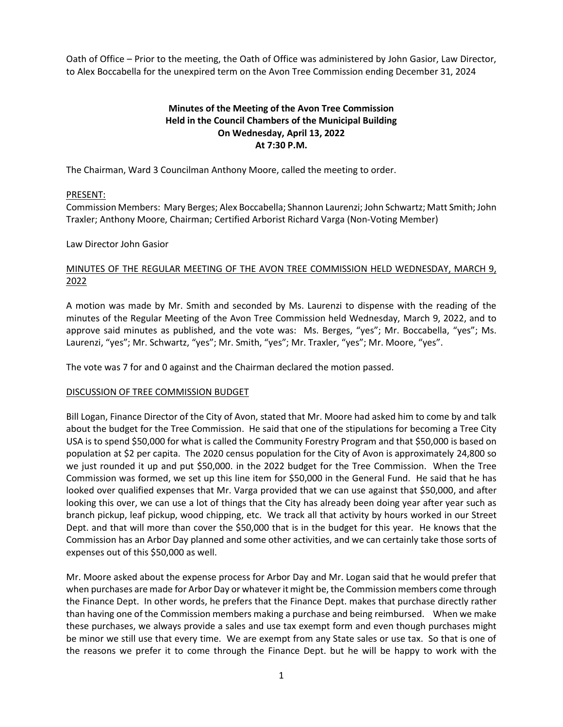Oath of Office – Prior to the meeting, the Oath of Office was administered by John Gasior, Law Director, to Alex Boccabella for the unexpired term on the Avon Tree Commission ending December 31, 2024

# **Minutes of the Meeting of the Avon Tree Commission Held in the Council Chambers of the Municipal Building On Wednesday, April 13, 2022 At 7:30 P.M.**

The Chairman, Ward 3 Councilman Anthony Moore, called the meeting to order.

## PRESENT:

Commission Members: Mary Berges; Alex Boccabella; Shannon Laurenzi; John Schwartz; Matt Smith; John Traxler; Anthony Moore, Chairman; Certified Arborist Richard Varga (Non-Voting Member)

### Law Director John Gasior

# MINUTES OF THE REGULAR MEETING OF THE AVON TREE COMMISSION HELD WEDNESDAY, MARCH 9, 2022

A motion was made by Mr. Smith and seconded by Ms. Laurenzi to dispense with the reading of the minutes of the Regular Meeting of the Avon Tree Commission held Wednesday, March 9, 2022, and to approve said minutes as published, and the vote was: Ms. Berges, "yes"; Mr. Boccabella, "yes"; Ms. Laurenzi, "yes"; Mr. Schwartz, "yes"; Mr. Smith, "yes"; Mr. Traxler, "yes"; Mr. Moore, "yes".

The vote was 7 for and 0 against and the Chairman declared the motion passed.

### DISCUSSION OF TREE COMMISSION BUDGET

Bill Logan, Finance Director of the City of Avon, stated that Mr. Moore had asked him to come by and talk about the budget for the Tree Commission. He said that one of the stipulations for becoming a Tree City USA is to spend \$50,000 for what is called the Community Forestry Program and that \$50,000 is based on population at \$2 per capita. The 2020 census population for the City of Avon is approximately 24,800 so we just rounded it up and put \$50,000. in the 2022 budget for the Tree Commission. When the Tree Commission was formed, we set up this line item for \$50,000 in the General Fund. He said that he has looked over qualified expenses that Mr. Varga provided that we can use against that \$50,000, and after looking this over, we can use a lot of things that the City has already been doing year after year such as branch pickup, leaf pickup, wood chipping, etc. We track all that activity by hours worked in our Street Dept. and that will more than cover the \$50,000 that is in the budget for this year. He knows that the Commission has an Arbor Day planned and some other activities, and we can certainly take those sorts of expenses out of this \$50,000 as well.

Mr. Moore asked about the expense process for Arbor Day and Mr. Logan said that he would prefer that when purchases are made for Arbor Day or whatever it might be, the Commission members come through the Finance Dept. In other words, he prefers that the Finance Dept. makes that purchase directly rather than having one of the Commission members making a purchase and being reimbursed. When we make these purchases, we always provide a sales and use tax exempt form and even though purchases might be minor we still use that every time. We are exempt from any State sales or use tax. So that is one of the reasons we prefer it to come through the Finance Dept. but he will be happy to work with the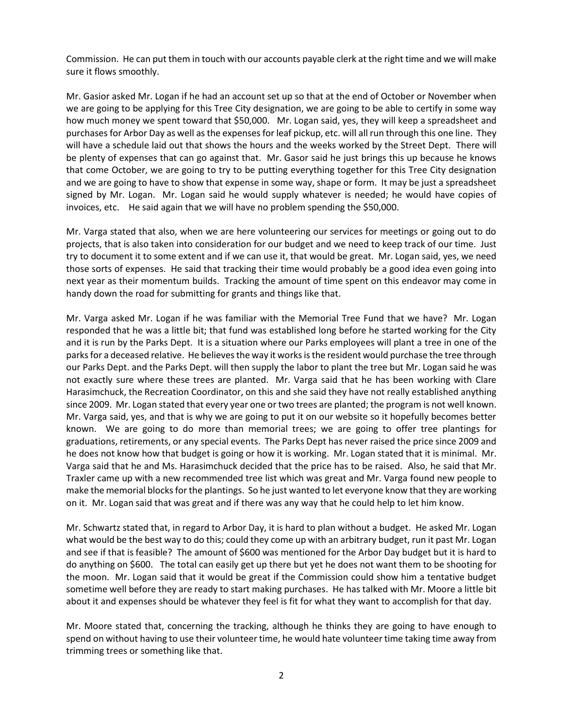Commission. He can put them in touch with our accounts payable clerk at the right time and we will make sure it flows smoothly.

Mr. Gasior asked Mr. Logan if he had an account set up so that at the end of October or November when we are going to be applying for this Tree City designation, we are going to be able to certify in some way how much money we spent toward that \$50,000. Mr. Logan said, yes, they will keep a spreadsheet and purchases for Arbor Day as well as the expenses for leaf pickup, etc. will all run through this one line. They will have a schedule laid out that shows the hours and the weeks worked by the Street Dept. There will be plenty of expenses that can go against that. Mr. Gasor said he just brings this up because he knows that come October, we are going to try to be putting everything together for this Tree City designation and we are going to have to show that expense in some way, shape or form. It may be just a spreadsheet signed by Mr. Logan. Mr. Logan said he would supply whatever is needed; he would have copies of invoices, etc. He said again that we will have no problem spending the \$50,000.

Mr. Varga stated that also, when we are here volunteering our services for meetings or going out to do projects, that is also taken into consideration for our budget and we need to keep track of our time. Just try to document it to some extent and if we can use it, that would be great. Mr. Logan said, yes, we need those sorts of expenses. He said that tracking their time would probably be a good idea even going into next year as their momentum builds. Tracking the amount of time spent on this endeavor may come in handy down the road for submitting for grants and things like that.

Mr. Varga asked Mr. Logan if he was familiar with the Memorial Tree Fund that we have? Mr. Logan responded that he was a little bit; that fund was established long before he started working for the City and it is run by the Parks Dept. It is a situation where our Parks employees will plant a tree in one of the parks for a deceased relative. He believes the way it works is the resident would purchase the tree through our Parks Dept. and the Parks Dept. will then supply the labor to plant the tree but Mr. Logan said he was not exactly sure where these trees are planted. Mr. Varga said that he has been working with Clare Harasimchuck, the Recreation Coordinator, on this and she said they have not really established anything since 2009. Mr. Logan stated that every year one or two trees are planted; the program is not well known. Mr. Varga said, yes, and that is why we are going to put it on our website so it hopefully becomes better known. We are going to do more than memorial trees; we are going to offer tree plantings for graduations, retirements, or any special events. The Parks Dept has never raised the price since 2009 and he does not know how that budget is going or how it is working. Mr. Logan stated that it is minimal. Mr. Varga said that he and Ms. Harasimchuck decided that the price has to be raised. Also, he said that Mr. Traxler came up with a new recommended tree list which was great and Mr. Varga found new people to make the memorial blocks for the plantings. So he just wanted to let everyone know that they are working on it. Mr. Logan said that was great and if there was any way that he could help to let him know.

Mr. Schwartz stated that, in regard to Arbor Day, it is hard to plan without a budget. He asked Mr. Logan what would be the best way to do this; could they come up with an arbitrary budget, run it past Mr. Logan and see if that is feasible? The amount of \$600 was mentioned for the Arbor Day budget but it is hard to do anything on \$600. The total can easily get up there but yet he does not want them to be shooting for the moon. Mr. Logan said that it would be great if the Commission could show him a tentative budget sometime well before they are ready to start making purchases. He has talked with Mr. Moore a little bit about it and expenses should be whatever they feel is fit for what they want to accomplish for that day.

Mr. Moore stated that, concerning the tracking, although he thinks they are going to have enough to spend on without having to use their volunteer time, he would hate volunteer time taking time away from trimming trees or something like that.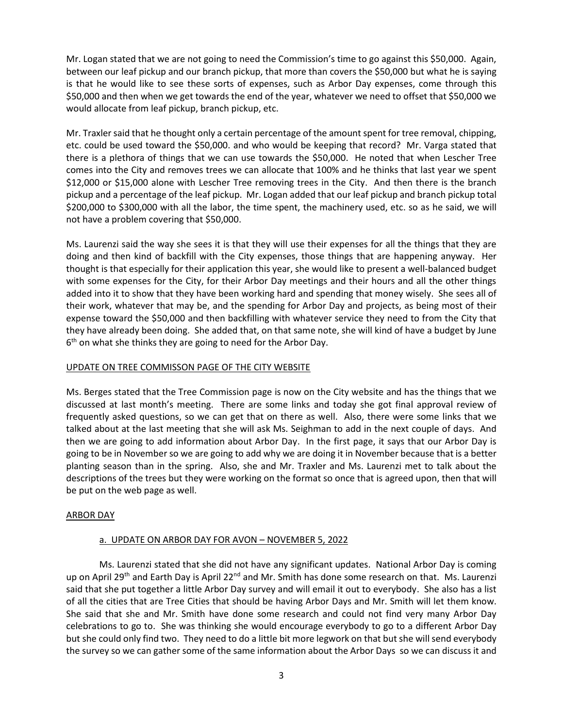Mr. Logan stated that we are not going to need the Commission's time to go against this \$50,000. Again, between our leaf pickup and our branch pickup, that more than covers the \$50,000 but what he is saying is that he would like to see these sorts of expenses, such as Arbor Day expenses, come through this \$50,000 and then when we get towards the end of the year, whatever we need to offset that \$50,000 we would allocate from leaf pickup, branch pickup, etc.

Mr. Traxler said that he thought only a certain percentage of the amount spent for tree removal, chipping, etc. could be used toward the \$50,000. and who would be keeping that record? Mr. Varga stated that there is a plethora of things that we can use towards the \$50,000. He noted that when Lescher Tree comes into the City and removes trees we can allocate that 100% and he thinks that last year we spent \$12,000 or \$15,000 alone with Lescher Tree removing trees in the City. And then there is the branch pickup and a percentage of the leaf pickup. Mr. Logan added that our leaf pickup and branch pickup total \$200,000 to \$300,000 with all the labor, the time spent, the machinery used, etc. so as he said, we will not have a problem covering that \$50,000.

Ms. Laurenzi said the way she sees it is that they will use their expenses for all the things that they are doing and then kind of backfill with the City expenses, those things that are happening anyway. Her thought is that especially for their application this year, she would like to present a well-balanced budget with some expenses for the City, for their Arbor Day meetings and their hours and all the other things added into it to show that they have been working hard and spending that money wisely. She sees all of their work, whatever that may be, and the spending for Arbor Day and projects, as being most of their expense toward the \$50,000 and then backfilling with whatever service they need to from the City that they have already been doing. She added that, on that same note, she will kind of have a budget by June 6<sup>th</sup> on what she thinks they are going to need for the Arbor Day.

### UPDATE ON TREE COMMISSON PAGE OF THE CITY WEBSITE

Ms. Berges stated that the Tree Commission page is now on the City website and has the things that we discussed at last month's meeting. There are some links and today she got final approval review of frequently asked questions, so we can get that on there as well. Also, there were some links that we talked about at the last meeting that she will ask Ms. Seighman to add in the next couple of days. And then we are going to add information about Arbor Day. In the first page, it says that our Arbor Day is going to be in November so we are going to add why we are doing it in November because that is a better planting season than in the spring. Also, she and Mr. Traxler and Ms. Laurenzi met to talk about the descriptions of the trees but they were working on the format so once that is agreed upon, then that will be put on the web page as well.

### ARBOR DAY

### a. UPDATE ON ARBOR DAY FOR AVON – NOVEMBER 5, 2022

Ms. Laurenzi stated that she did not have any significant updates. National Arbor Day is coming up on April 29<sup>th</sup> and Earth Day is April 22<sup>nd</sup> and Mr. Smith has done some research on that. Ms. Laurenzi said that she put together a little Arbor Day survey and will email it out to everybody. She also has a list of all the cities that are Tree Cities that should be having Arbor Days and Mr. Smith will let them know. She said that she and Mr. Smith have done some research and could not find very many Arbor Day celebrations to go to. She was thinking she would encourage everybody to go to a different Arbor Day but she could only find two. They need to do a little bit more legwork on that but she will send everybody the survey so we can gather some of the same information about the Arbor Days so we can discuss it and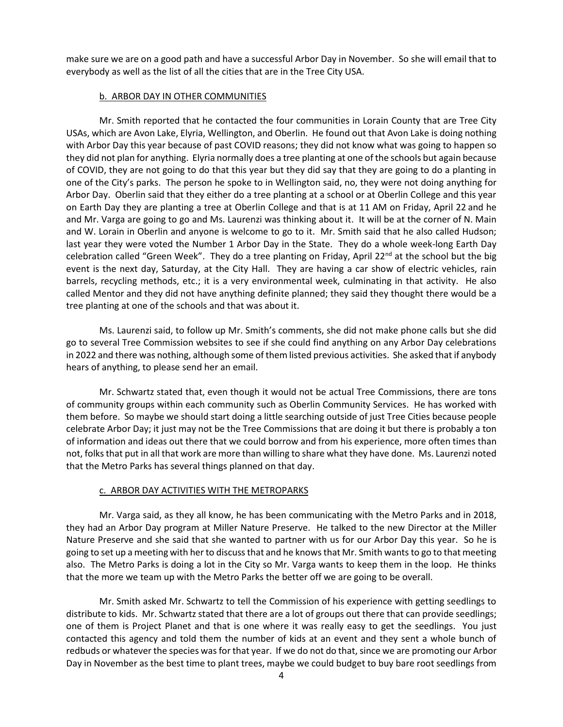make sure we are on a good path and have a successful Arbor Day in November. So she will email that to everybody as well as the list of all the cities that are in the Tree City USA.

#### b. ARBOR DAY IN OTHER COMMUNITIES

Mr. Smith reported that he contacted the four communities in Lorain County that are Tree City USAs, which are Avon Lake, Elyria, Wellington, and Oberlin. He found out that Avon Lake is doing nothing with Arbor Day this year because of past COVID reasons; they did not know what was going to happen so they did not plan for anything. Elyria normally does a tree planting at one of the schools but again because of COVID, they are not going to do that this year but they did say that they are going to do a planting in one of the City's parks. The person he spoke to in Wellington said, no, they were not doing anything for Arbor Day. Oberlin said that they either do a tree planting at a school or at Oberlin College and this year on Earth Day they are planting a tree at Oberlin College and that is at 11 AM on Friday, April 22 and he and Mr. Varga are going to go and Ms. Laurenzi was thinking about it. It will be at the corner of N. Main and W. Lorain in Oberlin and anyone is welcome to go to it. Mr. Smith said that he also called Hudson; last year they were voted the Number 1 Arbor Day in the State. They do a whole week-long Earth Day celebration called "Green Week". They do a tree planting on Friday, April 22<sup>nd</sup> at the school but the big event is the next day, Saturday, at the City Hall. They are having a car show of electric vehicles, rain barrels, recycling methods, etc.; it is a very environmental week, culminating in that activity. He also called Mentor and they did not have anything definite planned; they said they thought there would be a tree planting at one of the schools and that was about it.

Ms. Laurenzi said, to follow up Mr. Smith's comments, she did not make phone calls but she did go to several Tree Commission websites to see if she could find anything on any Arbor Day celebrations in 2022 and there was nothing, although some of them listed previous activities. She asked that if anybody hears of anything, to please send her an email.

Mr. Schwartz stated that, even though it would not be actual Tree Commissions, there are tons of community groups within each community such as Oberlin Community Services. He has worked with them before. So maybe we should start doing a little searching outside of just Tree Cities because people celebrate Arbor Day; it just may not be the Tree Commissions that are doing it but there is probably a ton of information and ideas out there that we could borrow and from his experience, more often times than not, folks that put in all that work are more than willing to share what they have done. Ms. Laurenzi noted that the Metro Parks has several things planned on that day.

### c. ARBOR DAY ACTIVITIES WITH THE METROPARKS

Mr. Varga said, as they all know, he has been communicating with the Metro Parks and in 2018, they had an Arbor Day program at Miller Nature Preserve. He talked to the new Director at the Miller Nature Preserve and she said that she wanted to partner with us for our Arbor Day this year. So he is going to set up a meeting with her to discuss that and he knows that Mr. Smith wants to go to that meeting also. The Metro Parks is doing a lot in the City so Mr. Varga wants to keep them in the loop. He thinks that the more we team up with the Metro Parks the better off we are going to be overall.

Mr. Smith asked Mr. Schwartz to tell the Commission of his experience with getting seedlings to distribute to kids. Mr. Schwartz stated that there are a lot of groups out there that can provide seedlings; one of them is Project Planet and that is one where it was really easy to get the seedlings. You just contacted this agency and told them the number of kids at an event and they sent a whole bunch of redbuds or whatever the species was for that year. If we do not do that, since we are promoting our Arbor Day in November as the best time to plant trees, maybe we could budget to buy bare root seedlings from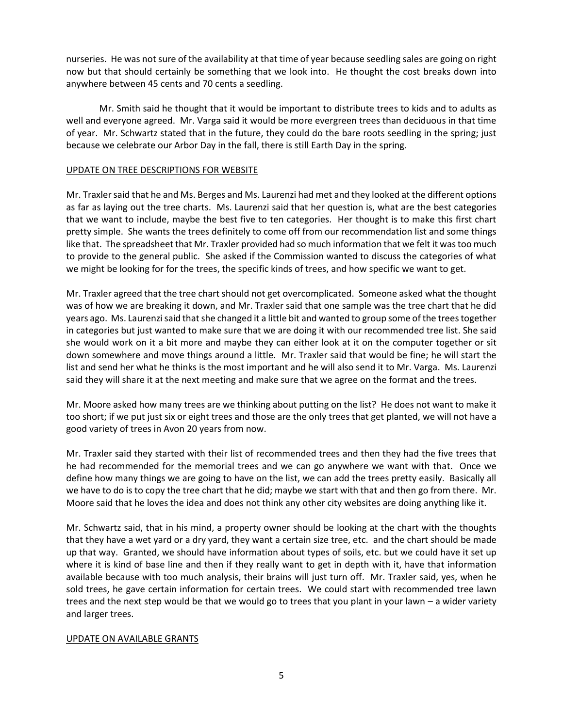nurseries. He was not sure of the availability at that time of year because seedling sales are going on right now but that should certainly be something that we look into. He thought the cost breaks down into anywhere between 45 cents and 70 cents a seedling.

Mr. Smith said he thought that it would be important to distribute trees to kids and to adults as well and everyone agreed. Mr. Varga said it would be more evergreen trees than deciduous in that time of year. Mr. Schwartz stated that in the future, they could do the bare roots seedling in the spring; just because we celebrate our Arbor Day in the fall, there is still Earth Day in the spring.

#### UPDATE ON TREE DESCRIPTIONS FOR WEBSITE

Mr. Traxler said that he and Ms. Berges and Ms. Laurenzi had met and they looked at the different options as far as laying out the tree charts. Ms. Laurenzi said that her question is, what are the best categories that we want to include, maybe the best five to ten categories. Her thought is to make this first chart pretty simple. She wants the trees definitely to come off from our recommendation list and some things like that. The spreadsheet that Mr. Traxler provided had so much information that we felt it was too much to provide to the general public. She asked if the Commission wanted to discuss the categories of what we might be looking for for the trees, the specific kinds of trees, and how specific we want to get.

Mr. Traxler agreed that the tree chart should not get overcomplicated. Someone asked what the thought was of how we are breaking it down, and Mr. Traxler said that one sample was the tree chart that he did years ago. Ms. Laurenzi said that she changed it a little bit and wanted to group some of the trees together in categories but just wanted to make sure that we are doing it with our recommended tree list. She said she would work on it a bit more and maybe they can either look at it on the computer together or sit down somewhere and move things around a little. Mr. Traxler said that would be fine; he will start the list and send her what he thinks is the most important and he will also send it to Mr. Varga. Ms. Laurenzi said they will share it at the next meeting and make sure that we agree on the format and the trees.

Mr. Moore asked how many trees are we thinking about putting on the list? He does not want to make it too short; if we put just six or eight trees and those are the only trees that get planted, we will not have a good variety of trees in Avon 20 years from now.

Mr. Traxler said they started with their list of recommended trees and then they had the five trees that he had recommended for the memorial trees and we can go anywhere we want with that. Once we define how many things we are going to have on the list, we can add the trees pretty easily. Basically all we have to do is to copy the tree chart that he did; maybe we start with that and then go from there. Mr. Moore said that he loves the idea and does not think any other city websites are doing anything like it.

Mr. Schwartz said, that in his mind, a property owner should be looking at the chart with the thoughts that they have a wet yard or a dry yard, they want a certain size tree, etc. and the chart should be made up that way. Granted, we should have information about types of soils, etc. but we could have it set up where it is kind of base line and then if they really want to get in depth with it, have that information available because with too much analysis, their brains will just turn off. Mr. Traxler said, yes, when he sold trees, he gave certain information for certain trees. We could start with recommended tree lawn trees and the next step would be that we would go to trees that you plant in your lawn – a wider variety and larger trees.

#### UPDATE ON AVAILABLE GRANTS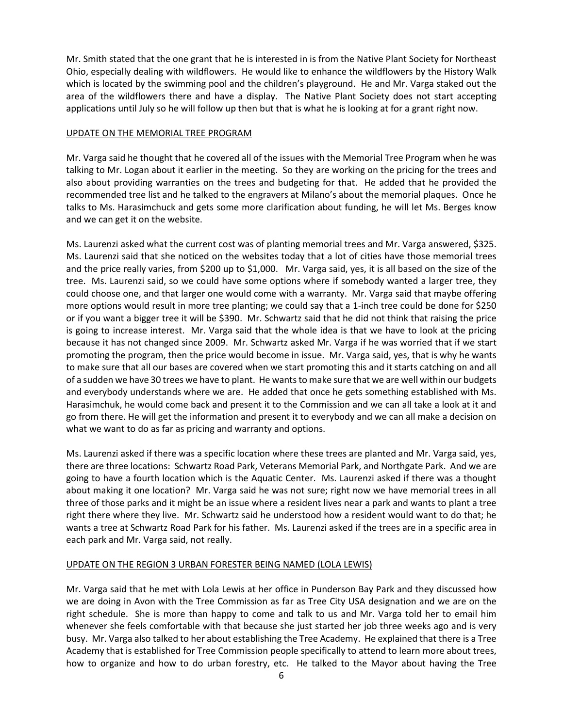Mr. Smith stated that the one grant that he is interested in is from the Native Plant Society for Northeast Ohio, especially dealing with wildflowers. He would like to enhance the wildflowers by the History Walk which is located by the swimming pool and the children's playground. He and Mr. Varga staked out the area of the wildflowers there and have a display. The Native Plant Society does not start accepting applications until July so he will follow up then but that is what he is looking at for a grant right now.

### UPDATE ON THE MEMORIAL TREE PROGRAM

Mr. Varga said he thought that he covered all of the issues with the Memorial Tree Program when he was talking to Mr. Logan about it earlier in the meeting. So they are working on the pricing for the trees and also about providing warranties on the trees and budgeting for that. He added that he provided the recommended tree list and he talked to the engravers at Milano's about the memorial plaques. Once he talks to Ms. Harasimchuck and gets some more clarification about funding, he will let Ms. Berges know and we can get it on the website.

Ms. Laurenzi asked what the current cost was of planting memorial trees and Mr. Varga answered, \$325. Ms. Laurenzi said that she noticed on the websites today that a lot of cities have those memorial trees and the price really varies, from \$200 up to \$1,000. Mr. Varga said, yes, it is all based on the size of the tree. Ms. Laurenzi said, so we could have some options where if somebody wanted a larger tree, they could choose one, and that larger one would come with a warranty. Mr. Varga said that maybe offering more options would result in more tree planting; we could say that a 1-inch tree could be done for \$250 or if you want a bigger tree it will be \$390. Mr. Schwartz said that he did not think that raising the price is going to increase interest. Mr. Varga said that the whole idea is that we have to look at the pricing because it has not changed since 2009. Mr. Schwartz asked Mr. Varga if he was worried that if we start promoting the program, then the price would become in issue. Mr. Varga said, yes, that is why he wants to make sure that all our bases are covered when we start promoting this and it starts catching on and all of a sudden we have 30 trees we have to plant. He wants to make sure that we are well within our budgets and everybody understands where we are. He added that once he gets something established with Ms. Harasimchuk, he would come back and present it to the Commission and we can all take a look at it and go from there. He will get the information and present it to everybody and we can all make a decision on what we want to do as far as pricing and warranty and options.

Ms. Laurenzi asked if there was a specific location where these trees are planted and Mr. Varga said, yes, there are three locations: Schwartz Road Park, Veterans Memorial Park, and Northgate Park. And we are going to have a fourth location which is the Aquatic Center. Ms. Laurenzi asked if there was a thought about making it one location? Mr. Varga said he was not sure; right now we have memorial trees in all three of those parks and it might be an issue where a resident lives near a park and wants to plant a tree right there where they live. Mr. Schwartz said he understood how a resident would want to do that; he wants a tree at Schwartz Road Park for his father. Ms. Laurenzi asked if the trees are in a specific area in each park and Mr. Varga said, not really.

### UPDATE ON THE REGION 3 URBAN FORESTER BEING NAMED (LOLA LEWIS)

Mr. Varga said that he met with Lola Lewis at her office in Punderson Bay Park and they discussed how we are doing in Avon with the Tree Commission as far as Tree City USA designation and we are on the right schedule. She is more than happy to come and talk to us and Mr. Varga told her to email him whenever she feels comfortable with that because she just started her job three weeks ago and is very busy. Mr. Varga also talked to her about establishing the Tree Academy. He explained that there is a Tree Academy that is established for Tree Commission people specifically to attend to learn more about trees, how to organize and how to do urban forestry, etc. He talked to the Mayor about having the Tree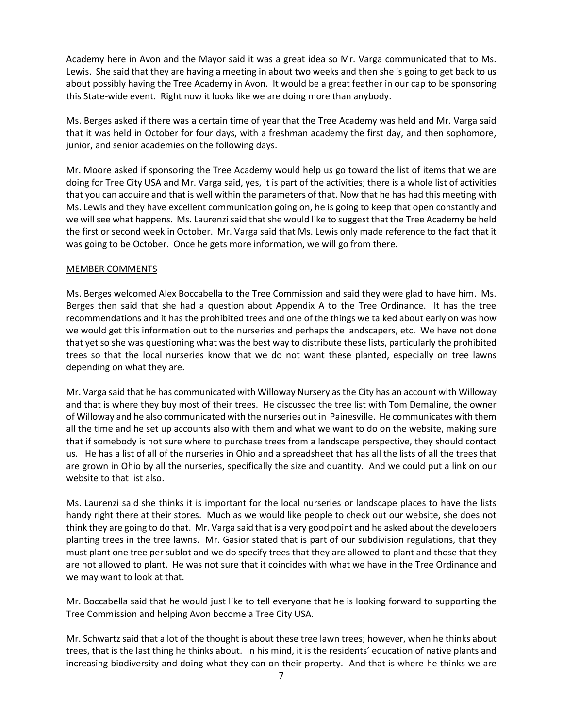Academy here in Avon and the Mayor said it was a great idea so Mr. Varga communicated that to Ms. Lewis. She said that they are having a meeting in about two weeks and then she is going to get back to us about possibly having the Tree Academy in Avon. It would be a great feather in our cap to be sponsoring this State-wide event. Right now it looks like we are doing more than anybody.

Ms. Berges asked if there was a certain time of year that the Tree Academy was held and Mr. Varga said that it was held in October for four days, with a freshman academy the first day, and then sophomore, junior, and senior academies on the following days.

Mr. Moore asked if sponsoring the Tree Academy would help us go toward the list of items that we are doing for Tree City USA and Mr. Varga said, yes, it is part of the activities; there is a whole list of activities that you can acquire and that is well within the parameters of that. Now that he has had this meeting with Ms. Lewis and they have excellent communication going on, he is going to keep that open constantly and we will see what happens. Ms. Laurenzi said that she would like to suggest that the Tree Academy be held the first or second week in October. Mr. Varga said that Ms. Lewis only made reference to the fact that it was going to be October. Once he gets more information, we will go from there.

## MEMBER COMMENTS

Ms. Berges welcomed Alex Boccabella to the Tree Commission and said they were glad to have him. Ms. Berges then said that she had a question about Appendix A to the Tree Ordinance. It has the tree recommendations and it has the prohibited trees and one of the things we talked about early on was how we would get this information out to the nurseries and perhaps the landscapers, etc. We have not done that yet so she was questioning what was the best way to distribute these lists, particularly the prohibited trees so that the local nurseries know that we do not want these planted, especially on tree lawns depending on what they are.

Mr. Varga said that he has communicated with Willoway Nursery as the City has an account with Willoway and that is where they buy most of their trees. He discussed the tree list with Tom Demaline, the owner of Willoway and he also communicated with the nurseries out in Painesville. He communicates with them all the time and he set up accounts also with them and what we want to do on the website, making sure that if somebody is not sure where to purchase trees from a landscape perspective, they should contact us. He has a list of all of the nurseries in Ohio and a spreadsheet that has all the lists of all the trees that are grown in Ohio by all the nurseries, specifically the size and quantity. And we could put a link on our website to that list also.

Ms. Laurenzi said she thinks it is important for the local nurseries or landscape places to have the lists handy right there at their stores. Much as we would like people to check out our website, she does not think they are going to do that. Mr. Varga said that is a very good point and he asked about the developers planting trees in the tree lawns. Mr. Gasior stated that is part of our subdivision regulations, that they must plant one tree per sublot and we do specify trees that they are allowed to plant and those that they are not allowed to plant. He was not sure that it coincides with what we have in the Tree Ordinance and we may want to look at that.

Mr. Boccabella said that he would just like to tell everyone that he is looking forward to supporting the Tree Commission and helping Avon become a Tree City USA.

Mr. Schwartz said that a lot of the thought is about these tree lawn trees; however, when he thinks about trees, that is the last thing he thinks about. In his mind, it is the residents' education of native plants and increasing biodiversity and doing what they can on their property. And that is where he thinks we are